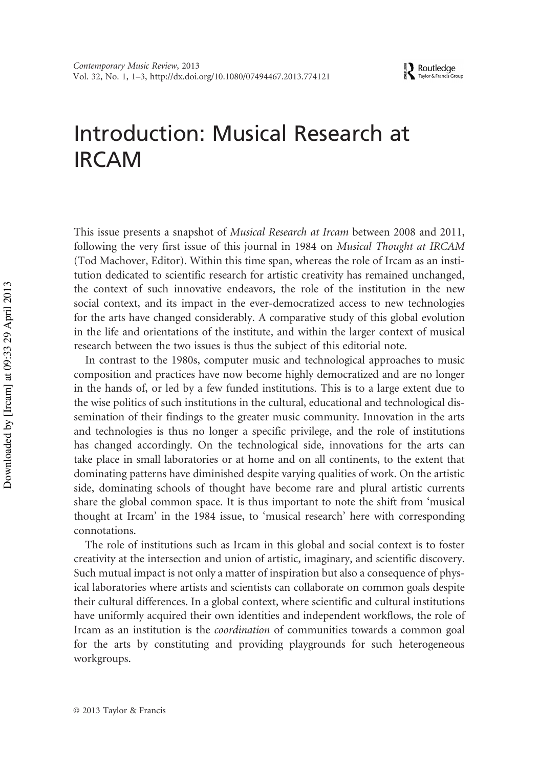**EXP** Routledge

## Introduction: Musical Research at IRCAM

This issue presents a snapshot of Musical Research at Ircam between 2008 and 2011, following the very first issue of this journal in 1984 on Musical Thought at IRCAM (Tod Machover, Editor). Within this time span, whereas the role of Ircam as an institution dedicated to scientific research for artistic creativity has remained unchanged, the context of such innovative endeavors, the role of the institution in the new social context, and its impact in the ever-democratized access to new technologies for the arts have changed considerably. A comparative study of this global evolution in the life and orientations of the institute, and within the larger context of musical research between the two issues is thus the subject of this editorial note.

In contrast to the 1980s, computer music and technological approaches to music composition and practices have now become highly democratized and are no longer in the hands of, or led by a few funded institutions. This is to a large extent due to the wise politics of such institutions in the cultural, educational and technological dissemination of their findings to the greater music community. Innovation in the arts and technologies is thus no longer a specific privilege, and the role of institutions has changed accordingly. On the technological side, innovations for the arts can take place in small laboratories or at home and on all continents, to the extent that dominating patterns have diminished despite varying qualities of work. On the artistic side, dominating schools of thought have become rare and plural artistic currents share the global common space. It is thus important to note the shift from 'musical thought at Ircam' in the 1984 issue, to 'musical research' here with corresponding connotations.

The role of institutions such as Ircam in this global and social context is to foster creativity at the intersection and union of artistic, imaginary, and scientific discovery. Such mutual impact is not only a matter of inspiration but also a consequence of physical laboratories where artists and scientists can collaborate on common goals despite their cultural differences. In a global context, where scientific and cultural institutions have uniformly acquired their own identities and independent workflows, the role of Ircam as an institution is the coordination of communities towards a common goal for the arts by constituting and providing playgrounds for such heterogeneous workgroups.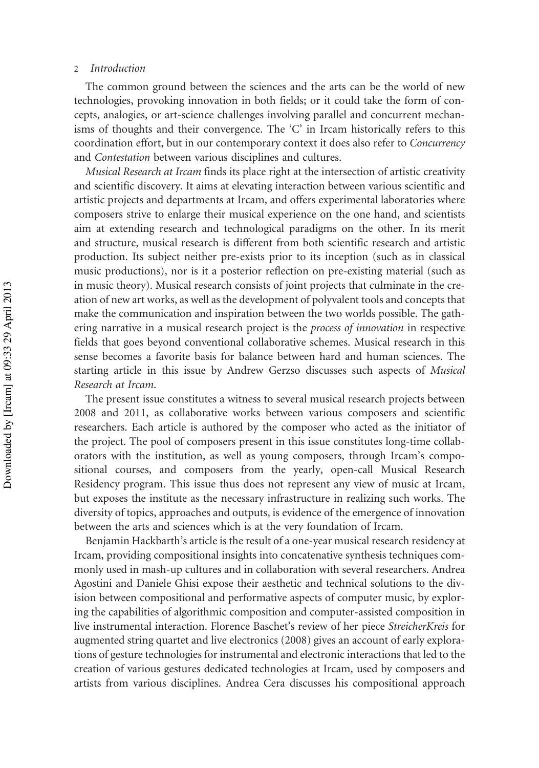## 2 Introduction

The common ground between the sciences and the arts can be the world of new technologies, provoking innovation in both fields; or it could take the form of concepts, analogies, or art-science challenges involving parallel and concurrent mechanisms of thoughts and their convergence. The 'C' in Ircam historically refers to this coordination effort, but in our contemporary context it does also refer to Concurrency and Contestation between various disciplines and cultures.

Musical Research at Ircam finds its place right at the intersection of artistic creativity and scientific discovery. It aims at elevating interaction between various scientific and artistic projects and departments at Ircam, and offers experimental laboratories where composers strive to enlarge their musical experience on the one hand, and scientists aim at extending research and technological paradigms on the other. In its merit and structure, musical research is different from both scientific research and artistic production. Its subject neither pre-exists prior to its inception (such as in classical music productions), nor is it a posterior reflection on pre-existing material (such as in music theory). Musical research consists of joint projects that culminate in the creation of new art works, as well as the development of polyvalent tools and concepts that make the communication and inspiration between the two worlds possible. The gathering narrative in a musical research project is the process of innovation in respective fields that goes beyond conventional collaborative schemes. Musical research in this sense becomes a favorite basis for balance between hard and human sciences. The starting article in this issue by Andrew Gerzso discusses such aspects of Musical Research at Ircam.

The present issue constitutes a witness to several musical research projects between 2008 and 2011, as collaborative works between various composers and scientific researchers. Each article is authored by the composer who acted as the initiator of the project. The pool of composers present in this issue constitutes long-time collaborators with the institution, as well as young composers, through Ircam's compositional courses, and composers from the yearly, open-call Musical Research Residency program. This issue thus does not represent any view of music at Ircam, but exposes the institute as the necessary infrastructure in realizing such works. The diversity of topics, approaches and outputs, is evidence of the emergence of innovation between the arts and sciences which is at the very foundation of Ircam.

Benjamin Hackbarth's article is the result of a one-year musical research residency at Ircam, providing compositional insights into concatenative synthesis techniques commonly used in mash-up cultures and in collaboration with several researchers. Andrea Agostini and Daniele Ghisi expose their aesthetic and technical solutions to the division between compositional and performative aspects of computer music, by exploring the capabilities of algorithmic composition and computer-assisted composition in live instrumental interaction. Florence Baschet's review of her piece StreicherKreis for augmented string quartet and live electronics (2008) gives an account of early explorations of gesture technologies for instrumental and electronic interactions that led to the creation of various gestures dedicated technologies at Ircam, used by composers and artists from various disciplines. Andrea Cera discusses his compositional approach